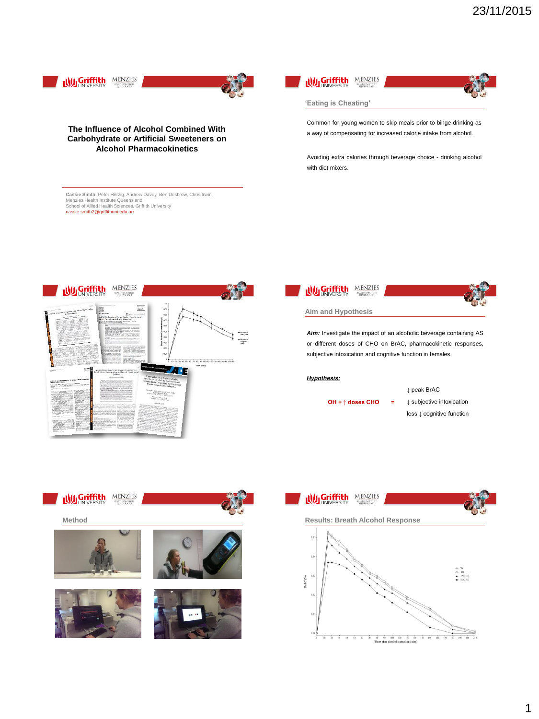

**Was Griffith** MENZIES 0.00<br>0.05<br>0.04 .<br>80 90 100 110 120 130 140 150 160 170 18 77 7



# *Hypothesis:*